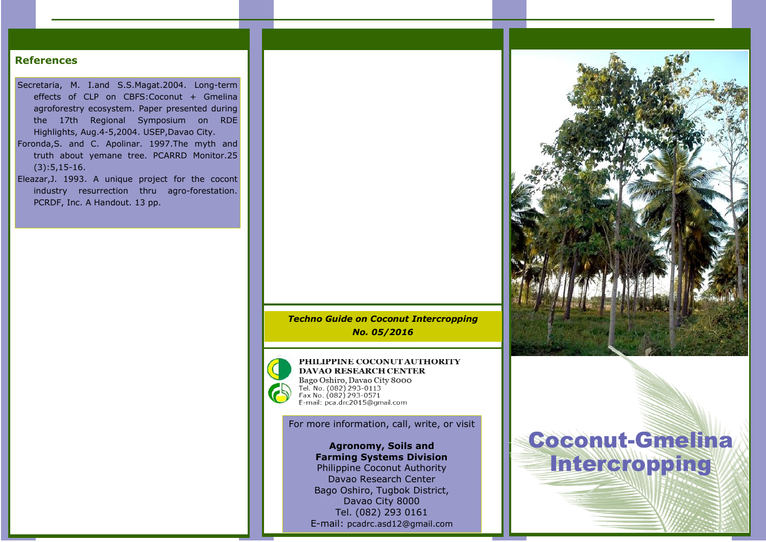## References

- Secretaria, M. I.and S.S.Magat.2004. Long-term effects of CLP on CBFS:Coconut + Gmelina agroforestry ecosystem. Paper presented during the 17th Regional Symposium on RDE Highlights, Aug.4-5,2004. USEP,Davao City.
- Foronda,S. and C. Apolinar. 1997.The myth and truth about yemane tree. PCARRD Monitor.25 (3):5,15-16.
- Eleazar,J. 1993. A unique project for the cocont industry resurrection thru agro-forestation. PCRDF, Inc. A Handout. 13 pp.



PHILIPPINE COCONUTAUTHORITY DAVAO RESEARCH CENTER Bago Oshiro, Davao City 8000 Dig to 0.082) 293-0113<br>Fax No. (082) 293-0113<br>Fax No. (082) 293-0571<br>E-mail: pca.drc2015@gmail.com

For more information, call, write, or visit

Agronomy, Soils and Farming Systems Division Philippine Coconut Authority Davao Research Center Bago Oshiro, Tugbok District, Davao City 8000 Tel. (082) 293 0161 E-mail: pcadrc.asd12@gmail.com